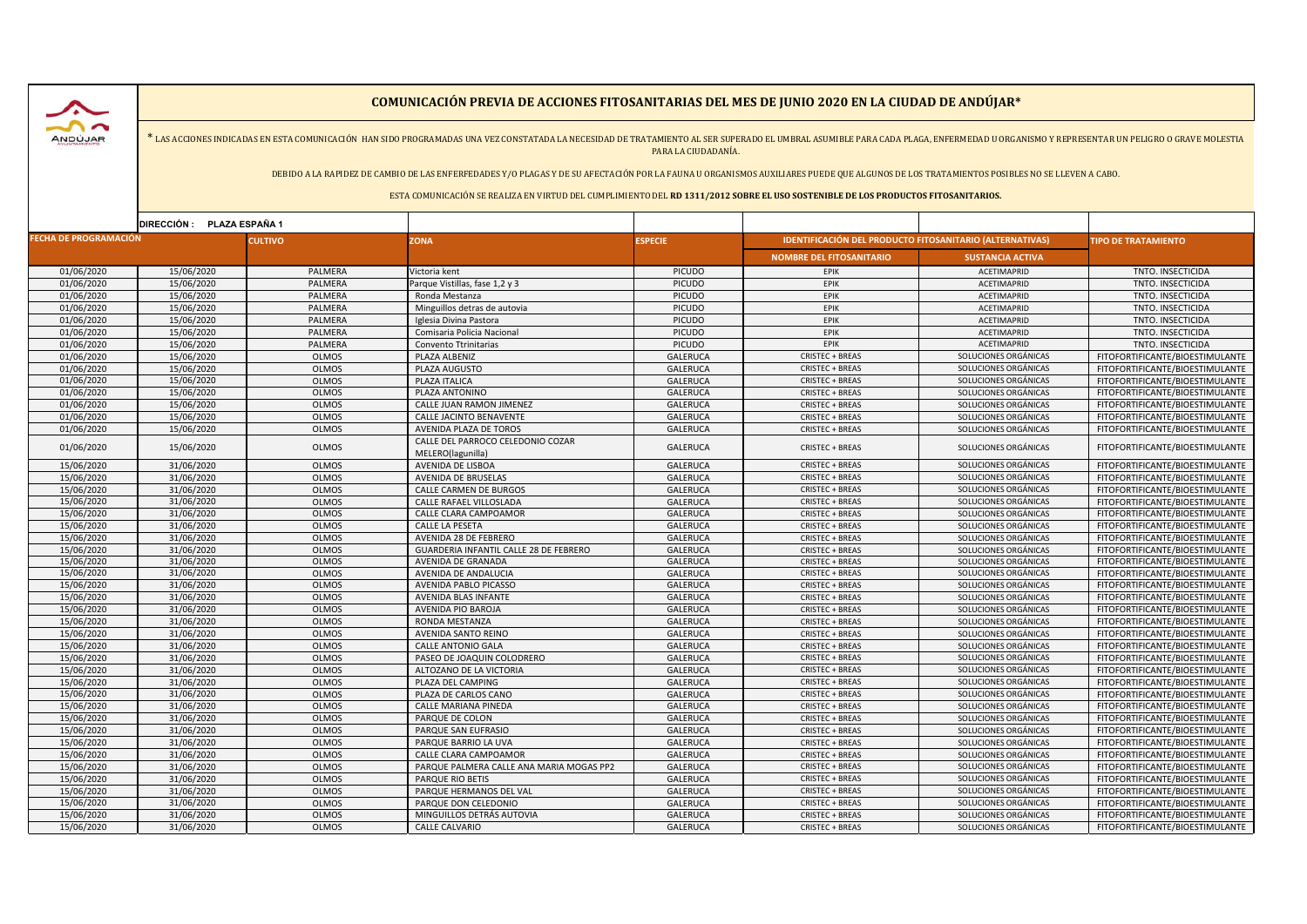ANDUJAR

## **COMUNICACIÓN PREVIA DE ACCIONES FITOSANITARIAS DEL MES DE JUNIO 2020 EN LA CIUDAD DE ANDÚJAR\***

\* LAS ACCIONES INDICADAS EN ESTA COMUNICACIÓN HAN SIDO PROGRAMADAS UNA VEZ CONSTATADA LA NECESIDAD DE TRATAMIENTO AL SER SUPERADO EL UMBRAL ASUMIBLE PARA CADA PLAGA, ENFERMEDAD U ORGANISMO Y REPRESENTAR UN PELIGRO O GRAVE PARA LA CIUDADANÍA.

DEBIDO A LA RAPIDEZ DE CAMBIO DE LAS ENFERFEDADES Y/O PLAGAS Y DE SU AFECTACIÓN POR LA FAUNA U ORGANISMOS AUXILIARES PUEDE QUE ALGUNOS DE LOS TRATAMIENTOS POSIBLES NO SE LLEVEN A CABO.

ESTA COMUNICACIÓN SE REALIZA EN VIRTUD DEL CUMPLIMIENTO DEL **RD 1311/2012 SOBRE EL USO SOSTENIBLE DE LOS PRODUCTOS FITOSANITARIOS.**

| DIRECCIÓN: PLAZA ESPAÑA 1               |            |              |                                                        |                                                                 |                                 |                           |                                 |
|-----------------------------------------|------------|--------------|--------------------------------------------------------|-----------------------------------------------------------------|---------------------------------|---------------------------|---------------------------------|
| <b>FECHA DE PROGRAMACIÓN</b><br>CULTIVO |            | <b>ZONA</b>  | <b>ESPECIE</b>                                         | <b>IDENTIFICACIÓN DEL PRODUCTO FITOSANITARIO (ALTERNATIVAS)</b> |                                 | <b>IPO DE TRATAMIENTO</b> |                                 |
|                                         |            |              |                                                        |                                                                 | <b>NOMBRE DEL FITOSANITARIO</b> | <b>SUSTANCIA ACTIVA</b>   |                                 |
| 01/06/2020                              | 15/06/2020 | PALMERA      | Victoria kent                                          | PICUDO                                                          | EPIK                            | ACETIMAPRID               | TNTO. INSECTICIDA               |
| 01/06/2020                              | 15/06/2020 | PALMERA      | Parque Vistillas, fase 1,2 y 3                         | <b>PICUDO</b>                                                   | EPIK                            | ACETIMAPRID               | TNTO. INSECTICIDA               |
| 01/06/2020                              | 15/06/2020 | PALMERA      | Ronda Mestanza                                         | <b>PICUDO</b>                                                   | EPIK                            | ACETIMAPRID               | TNTO. INSECTICIDA               |
| 01/06/2020                              | 15/06/2020 | PALMERA      | Minguillos detras de autovia                           | <b>PICUDO</b>                                                   | EPIK                            | ACETIMAPRID               | TNTO. INSECTICIDA               |
| 01/06/2020                              | 15/06/2020 | PALMERA      | Iglesia Divina Pastora                                 | <b>PICUDO</b>                                                   | EPIK                            | ACETIMAPRID               | TNTO. INSECTICIDA               |
| 01/06/2020                              | 15/06/2020 | PALMERA      | Comisaria Policia Nacional                             | <b>PICUDO</b>                                                   | EPIK                            | ACETIMAPRID               | TNTO. INSECTICIDA               |
| 01/06/2020                              | 15/06/2020 | PALMERA      | Convento Ttrinitarias                                  | <b>PICUDO</b>                                                   | EPIK                            | <b>ACETIMAPRID</b>        | TNTO. INSECTICIDA               |
| 01/06/2020                              | 15/06/2020 | <b>OLMOS</b> | PLAZA ALBENIZ                                          | <b>GALERUCA</b>                                                 | CRISTEC + BREAS                 | SOLUCIONES ORGÁNICAS      | FITOFORTIFICANTE/BIOESTIMULANTE |
| 01/06/2020                              | 15/06/2020 | <b>OLMOS</b> | PLAZA AUGUSTO                                          | <b>GALERUCA</b>                                                 | CRISTEC + BREAS                 | SOLUCIONES ORGÁNICAS      | FITOFORTIFICANTE/BIOESTIMULANTE |
| 01/06/2020                              | 15/06/2020 | <b>OLMOS</b> | PLAZA ITALICA                                          | <b>GALERUCA</b>                                                 | <b>CRISTEC + BREAS</b>          | SOLUCIONES ORGÁNICAS      | FITOFORTIFICANTE/BIOESTIMULANTE |
| 01/06/2020                              | 15/06/2020 | <b>OLMOS</b> | PLAZA ANTONINO                                         | <b>GALERUCA</b>                                                 | CRISTEC + BREAS                 | SOLUCIONES ORGÁNICAS      | FITOFORTIFICANTE/BIOESTIMULANTE |
| 01/06/2020                              | 15/06/2020 | <b>OLMOS</b> | CALLE JUAN RAMON JIMENEZ                               | <b>GALERUCA</b>                                                 | <b>CRISTEC + BREAS</b>          | SOLUCIONES ORGÁNICAS      | FITOFORTIFICANTE/BIOESTIMULANTE |
| 01/06/2020                              | 15/06/2020 | <b>OLMOS</b> | CALLE JACINTO BENAVENTE                                | <b>GALERUCA</b>                                                 | <b>CRISTEC + BREAS</b>          | SOLUCIONES ORGÁNICAS      | FITOFORTIFICANTE/BIOESTIMULANTE |
| 01/06/2020                              | 15/06/2020 | <b>OLMOS</b> | AVENIDA PLAZA DE TOROS                                 | <b>GALERUCA</b>                                                 | <b>CRISTEC + BREAS</b>          | SOLUCIONES ORGÁNICAS      | FITOFORTIFICANTE/BIOESTIMULANTE |
| 01/06/2020                              | 15/06/2020 | <b>OLMOS</b> | CALLE DEL PARROCO CELEDONIO COZAR<br>MELERO(lagunilla) | GALERUCA                                                        | <b>CRISTEC + BREAS</b>          | SOLUCIONES ORGÁNICAS      | FITOFORTIFICANTE/BIOESTIMULANTE |
| 15/06/2020                              | 31/06/2020 | <b>OLMOS</b> | AVENIDA DE LISBOA                                      | <b>GALERUCA</b>                                                 | <b>CRISTEC + BREAS</b>          | SOLUCIONES ORGÁNICAS      | FITOFORTIFICANTE/BIOESTIMULANTE |
| 15/06/2020                              | 31/06/2020 | <b>OLMOS</b> | AVENIDA DE BRUSELAS                                    | <b>GALERUCA</b>                                                 | <b>CRISTEC + BREAS</b>          | SOLUCIONES ORGÁNICAS      | FITOFORTIFICANTE/BIOESTIMULANTE |
| 15/06/2020                              | 31/06/2020 | <b>OLMOS</b> | CALLE CARMEN DE BURGOS                                 | <b>GALERUCA</b>                                                 | <b>CRISTEC + BREAS</b>          | SOLUCIONES ORGÁNICAS      | FITOFORTIFICANTE/BIOESTIMULANTE |
| 15/06/2020                              | 31/06/2020 | <b>OLMOS</b> | CALLE RAFAEL VILLOSLADA                                | GALERUCA                                                        | <b>CRISTEC + BREAS</b>          | SOLUCIONES ORGÁNICAS      | FITOFORTIFICANTE/BIOESTIMULANTE |
| 15/06/2020                              | 31/06/2020 | <b>OLMOS</b> | CALLE CLARA CAMPOAMOR                                  | <b>GALERUCA</b>                                                 | <b>CRISTEC + BREAS</b>          | SOLUCIONES ORGÁNICAS      | FITOFORTIFICANTE/BIOESTIMULANTE |
| 15/06/2020                              | 31/06/2020 | <b>OLMOS</b> | CALLE LA PESETA                                        | <b>GALERUCA</b>                                                 | <b>CRISTEC + BREAS</b>          | SOLUCIONES ORGÁNICAS      | FITOFORTIFICANTE/BIOESTIMULANTE |
| 15/06/2020                              | 31/06/2020 | <b>OLMOS</b> | AVENIDA 28 DE FEBRERO                                  | <b>GALERUCA</b>                                                 | <b>CRISTEC + BREAS</b>          | SOLUCIONES ORGÁNICAS      | FITOFORTIFICANTE/BIOESTIMULANTE |
| 15/06/2020                              | 31/06/2020 | <b>OLMOS</b> | <b>GUARDERIA INFANTIL CALLE 28 DE FEBRERO</b>          | <b>GALERUCA</b>                                                 | <b>CRISTEC + BREAS</b>          | SOLUCIONES ORGÁNICAS      | FITOFORTIFICANTE/BIOESTIMULANTE |
| 15/06/2020                              | 31/06/2020 | <b>OLMOS</b> | AVENIDA DE GRANADA                                     | <b>GALERUCA</b>                                                 | <b>CRISTEC + BREAS</b>          | SOLUCIONES ORGÁNICAS      | FITOFORTIFICANTE/BIOESTIMULANTE |
| 15/06/2020                              | 31/06/2020 | <b>OLMOS</b> | AVENIDA DE ANDALUCIA                                   | <b>GALERUCA</b>                                                 | <b>CRISTEC + BREAS</b>          | SOLUCIONES ORGÁNICAS      | FITOFORTIFICANTE/BIOESTIMULANTE |
| 15/06/2020                              | 31/06/2020 | <b>OLMOS</b> | AVENIDA PABLO PICASSO                                  | <b>GALERUCA</b>                                                 | <b>CRISTEC + BREAS</b>          | SOLUCIONES ORGÁNICAS      | FITOFORTIFICANTE/BIOESTIMULANTE |
| 15/06/2020                              | 31/06/2020 | <b>OLMOS</b> | AVENIDA BLAS INFANTE                                   | <b>GALERUCA</b>                                                 | <b>CRISTEC + BREAS</b>          | SOLUCIONES ORGÁNICAS      | FITOFORTIFICANTE/BIOESTIMULANTE |
| 15/06/2020                              | 31/06/2020 | <b>OLMOS</b> | AVENIDA PIO BAROJA                                     | <b>GALERUCA</b>                                                 | <b>CRISTEC + BREAS</b>          | SOLUCIONES ORGÁNICAS      | FITOFORTIFICANTE/BIOESTIMULANTE |
| 15/06/2020                              | 31/06/2020 | <b>OLMOS</b> | RONDA MESTANZA                                         | <b>GALERUCA</b>                                                 | <b>CRISTEC + BREAS</b>          | SOLUCIONES ORGÁNICAS      | FITOFORTIFICANTE/BIOESTIMULANTE |
| 15/06/2020                              | 31/06/2020 | <b>OLMOS</b> | AVENIDA SANTO REINO                                    | <b>GALERUCA</b>                                                 | <b>CRISTEC + BREAS</b>          | SOLUCIONES ORGÁNICAS      | FITOFORTIFICANTE/BIOESTIMULANTE |
| 15/06/2020                              | 31/06/2020 | <b>OLMOS</b> | <b>CALLE ANTONIO GALA</b>                              | <b>GALERUCA</b>                                                 | <b>CRISTEC + BREAS</b>          | SOLUCIONES ORGÁNICAS      | FITOFORTIFICANTE/BIOESTIMULANTE |
| 15/06/2020                              | 31/06/2020 | <b>OLMOS</b> | PASEO DE JOAQUIN COLODRERO                             | <b>GALERUCA</b>                                                 | <b>CRISTEC + BREAS</b>          | SOLUCIONES ORGÁNICAS      | FITOFORTIFICANTE/BIOESTIMULANTE |
| 15/06/2020                              | 31/06/2020 | <b>OLMOS</b> | ALTOZANO DE LA VICTORIA                                | GALERUCA                                                        | CRISTEC + BREAS                 | SOLUCIONES ORGÁNICAS      | FITOFORTIFICANTE/BIOESTIMULANTE |
| 15/06/2020                              | 31/06/2020 | <b>OLMOS</b> | PLAZA DEL CAMPING                                      | GALERUCA                                                        | <b>CRISTEC + BREAS</b>          | SOLUCIONES ORGÁNICAS      | FITOFORTIFICANTE/BIOESTIMULANTE |
| 15/06/2020                              | 31/06/2020 | <b>OLMOS</b> | PLAZA DE CARLOS CANO                                   | <b>GALERUCA</b>                                                 | <b>CRISTEC + BREAS</b>          | SOLUCIONES ORGÁNICAS      | FITOFORTIFICANTE/BIOESTIMULANTE |
| 15/06/2020                              | 31/06/2020 | <b>OLMOS</b> | CALLE MARIANA PINEDA                                   | GALERUCA                                                        | <b>CRISTEC + BREAS</b>          | SOLUCIONES ORGÁNICAS      | FITOFORTIFICANTE/BIOESTIMULANTE |
| 15/06/2020                              | 31/06/2020 | <b>OLMOS</b> | PARQUE DE COLON                                        | <b>GALERUCA</b>                                                 | <b>CRISTEC + BREAS</b>          | SOLUCIONES ORGÁNICAS      | FITOFORTIFICANTE/BIOESTIMULANTE |
| 15/06/2020                              | 31/06/2020 | <b>OLMOS</b> | PARQUE SAN EUFRASIO                                    | <b>GALERUCA</b>                                                 | CRISTEC + BREAS                 | SOLUCIONES ORGÁNICAS      | FITOFORTIFICANTE/BIOESTIMULANTE |
| 15/06/2020                              | 31/06/2020 | <b>OLMOS</b> | PARQUE BARRIO LA UVA                                   | <b>GALERUCA</b>                                                 | <b>CRISTEC + BREAS</b>          | SOLUCIONES ORGÁNICAS      | FITOFORTIFICANTE/BIOESTIMULANTE |
| 15/06/2020                              | 31/06/2020 | <b>OLMOS</b> | CALLE CLARA CAMPOAMOR                                  | <b>GALERUCA</b>                                                 | <b>CRISTEC + BREAS</b>          | SOLUCIONES ORGÁNICAS      | FITOFORTIFICANTE/BIOESTIMULANTE |
| 15/06/2020                              | 31/06/2020 | <b>OLMOS</b> | PARQUE PALMERA CALLE ANA MARIA MOGAS PP2               | <b>GALERUCA</b>                                                 | CRISTEC + BREAS                 | SOLUCIONES ORGÁNICAS      | FITOFORTIFICANTE/BIOESTIMULANTE |
| 15/06/2020                              | 31/06/2020 | <b>OLMOS</b> | PARQUE RIO BETIS                                       | <b>GALERUCA</b>                                                 | <b>CRISTEC + BREAS</b>          | SOLUCIONES ORGÁNICAS      | FITOFORTIFICANTE/BIOESTIMULANTE |
| 15/06/2020                              | 31/06/2020 | <b>OLMOS</b> | PARQUE HERMANOS DEL VAL                                | <b>GALERUCA</b>                                                 | <b>CRISTEC + BREAS</b>          | SOLUCIONES ORGÁNICAS      | FITOFORTIFICANTE/BIOESTIMULANTE |
| 15/06/2020                              | 31/06/2020 | <b>OLMOS</b> | PARQUE DON CELEDONIO                                   | GALERUCA                                                        | <b>CRISTEC + BREAS</b>          | SOLUCIONES ORGÁNICAS      | FITOFORTIFICANTE/BIOESTIMULANTE |
| 15/06/2020                              | 31/06/2020 | <b>OLMOS</b> | MINGUILLOS DETRÁS AUTOVIA                              | <b>GALERUCA</b>                                                 | <b>CRISTEC + BREAS</b>          | SOLUCIONES ORGÁNICAS      | FITOFORTIFICANTE/BIOESTIMULANTE |
| 15/06/2020                              | 31/06/2020 | <b>OLMOS</b> | <b>CALLE CALVARIO</b>                                  | <b>GALERUCA</b>                                                 | <b>CRISTEC + BREAS</b>          | SOLUCIONES ORGÁNICAS      | FITOFORTIFICANTE/BIOESTIMULANTE |